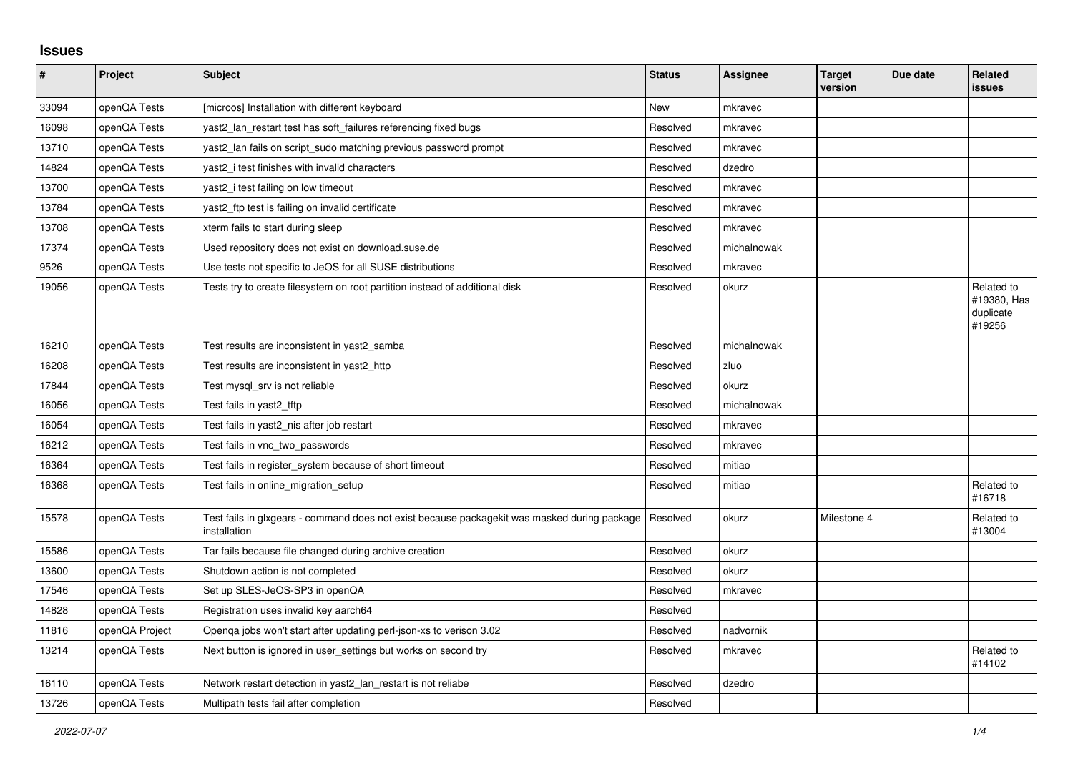## **Issues**

| $\sharp$ | <b>Project</b> | <b>Subject</b>                                                                                               | <b>Status</b> | <b>Assignee</b> | <b>Target</b><br>version | Due date | Related<br>issues                                |
|----------|----------------|--------------------------------------------------------------------------------------------------------------|---------------|-----------------|--------------------------|----------|--------------------------------------------------|
| 33094    | openQA Tests   | [microos] Installation with different keyboard                                                               | New           | mkravec         |                          |          |                                                  |
| 16098    | openQA Tests   | yast2_lan_restart test has soft_failures referencing fixed bugs                                              | Resolved      | mkravec         |                          |          |                                                  |
| 13710    | openQA Tests   | yast2_lan fails on script_sudo matching previous password prompt                                             | Resolved      | mkravec         |                          |          |                                                  |
| 14824    | openQA Tests   | yast2 i test finishes with invalid characters                                                                | Resolved      | dzedro          |                          |          |                                                  |
| 13700    | openQA Tests   | yast2_i test failing on low timeout                                                                          | Resolved      | mkravec         |                          |          |                                                  |
| 13784    | openQA Tests   | yast2_ftp test is failing on invalid certificate                                                             | Resolved      | mkravec         |                          |          |                                                  |
| 13708    | openQA Tests   | xterm fails to start during sleep                                                                            | Resolved      | mkravec         |                          |          |                                                  |
| 17374    | openQA Tests   | Used repository does not exist on download.suse.de                                                           | Resolved      | michalnowak     |                          |          |                                                  |
| 9526     | openQA Tests   | Use tests not specific to JeOS for all SUSE distributions                                                    | Resolved      | mkravec         |                          |          |                                                  |
| 19056    | openQA Tests   | Tests try to create filesystem on root partition instead of additional disk                                  | Resolved      | okurz           |                          |          | Related to<br>#19380, Has<br>duplicate<br>#19256 |
| 16210    | openQA Tests   | Test results are inconsistent in yast2 samba                                                                 | Resolved      | michalnowak     |                          |          |                                                  |
| 16208    | openQA Tests   | Test results are inconsistent in yast2 http                                                                  | Resolved      | zluo            |                          |          |                                                  |
| 17844    | openQA Tests   | Test mysql_srv is not reliable                                                                               | Resolved      | okurz           |                          |          |                                                  |
| 16056    | openQA Tests   | Test fails in yast2_tftp                                                                                     | Resolved      | michalnowak     |                          |          |                                                  |
| 16054    | openQA Tests   | Test fails in yast2 nis after job restart                                                                    | Resolved      | mkravec         |                          |          |                                                  |
| 16212    | openQA Tests   | Test fails in vnc two passwords                                                                              | Resolved      | mkravec         |                          |          |                                                  |
| 16364    | openQA Tests   | Test fails in register_system because of short timeout                                                       | Resolved      | mitiao          |                          |          |                                                  |
| 16368    | openQA Tests   | Test fails in online_migration_setup                                                                         | Resolved      | mitiao          |                          |          | Related to<br>#16718                             |
| 15578    | openQA Tests   | Test fails in glxgears - command does not exist because packagekit was masked during package<br>installation | Resolved      | okurz           | Milestone 4              |          | Related to<br>#13004                             |
| 15586    | openQA Tests   | Tar fails because file changed during archive creation                                                       | Resolved      | okurz           |                          |          |                                                  |
| 13600    | openQA Tests   | Shutdown action is not completed                                                                             | Resolved      | okurz           |                          |          |                                                  |
| 17546    | openQA Tests   | Set up SLES-JeOS-SP3 in openQA                                                                               | Resolved      | mkravec         |                          |          |                                                  |
| 14828    | openQA Tests   | Registration uses invalid key aarch64                                                                        | Resolved      |                 |                          |          |                                                  |
| 11816    | openQA Project | Openqa jobs won't start after updating perl-json-xs to verison 3.02                                          | Resolved      | nadvornik       |                          |          |                                                  |
| 13214    | openQA Tests   | Next button is ignored in user_settings but works on second try                                              | Resolved      | mkravec         |                          |          | Related to<br>#14102                             |
| 16110    | openQA Tests   | Network restart detection in yast2_lan_restart is not reliabe                                                | Resolved      | dzedro          |                          |          |                                                  |
| 13726    | openQA Tests   | Multipath tests fail after completion                                                                        | Resolved      |                 |                          |          |                                                  |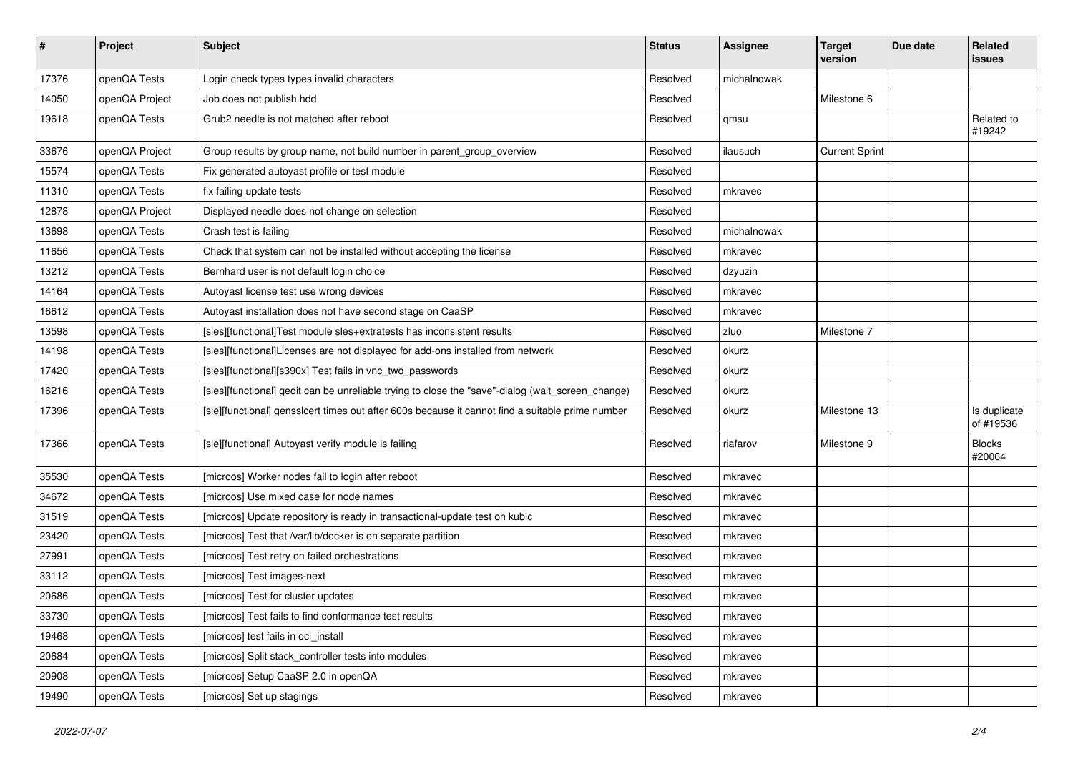| $\sharp$ | Project        | <b>Subject</b>                                                                                    | <b>Status</b> | <b>Assignee</b> | <b>Target</b><br>version | Due date | Related<br><b>issues</b>  |
|----------|----------------|---------------------------------------------------------------------------------------------------|---------------|-----------------|--------------------------|----------|---------------------------|
| 17376    | openQA Tests   | Login check types types invalid characters                                                        | Resolved      | michalnowak     |                          |          |                           |
| 14050    | openQA Project | Job does not publish hdd                                                                          | Resolved      |                 | Milestone 6              |          |                           |
| 19618    | openQA Tests   | Grub2 needle is not matched after reboot                                                          | Resolved      | qmsu            |                          |          | Related to<br>#19242      |
| 33676    | openQA Project | Group results by group name, not build number in parent_group_overview                            | Resolved      | ilausuch        | <b>Current Sprint</b>    |          |                           |
| 15574    | openQA Tests   | Fix generated autoyast profile or test module                                                     | Resolved      |                 |                          |          |                           |
| 11310    | openQA Tests   | fix failing update tests                                                                          | Resolved      | mkravec         |                          |          |                           |
| 12878    | openQA Project | Displayed needle does not change on selection                                                     | Resolved      |                 |                          |          |                           |
| 13698    | openQA Tests   | Crash test is failing                                                                             | Resolved      | michalnowak     |                          |          |                           |
| 11656    | openQA Tests   | Check that system can not be installed without accepting the license                              | Resolved      | mkravec         |                          |          |                           |
| 13212    | openQA Tests   | Bernhard user is not default login choice                                                         | Resolved      | dzyuzin         |                          |          |                           |
| 14164    | openQA Tests   | Autoyast license test use wrong devices                                                           | Resolved      | mkravec         |                          |          |                           |
| 16612    | openQA Tests   | Autoyast installation does not have second stage on CaaSP                                         | Resolved      | mkravec         |                          |          |                           |
| 13598    | openQA Tests   | [sles][functional]Test module sles+extratests has inconsistent results                            | Resolved      | zluo            | Milestone 7              |          |                           |
| 14198    | openQA Tests   | [sles][functional]Licenses are not displayed for add-ons installed from network                   | Resolved      | okurz           |                          |          |                           |
| 17420    | openQA Tests   | [sles][functional][s390x] Test fails in vnc_two_passwords                                         | Resolved      | okurz           |                          |          |                           |
| 16216    | openQA Tests   | [sles][functional] gedit can be unreliable trying to close the "save"-dialog (wait_screen_change) | Resolved      | okurz           |                          |          |                           |
| 17396    | openQA Tests   | [sle][functional] gensslcert times out after 600s because it cannot find a suitable prime number  | Resolved      | okurz           | Milestone 13             |          | Is duplicate<br>of #19536 |
| 17366    | openQA Tests   | [sle][functional] Autoyast verify module is failing                                               | Resolved      | riafarov        | Milestone 9              |          | <b>Blocks</b><br>#20064   |
| 35530    | openQA Tests   | [microos] Worker nodes fail to login after reboot                                                 | Resolved      | mkravec         |                          |          |                           |
| 34672    | openQA Tests   | [microos] Use mixed case for node names                                                           | Resolved      | mkravec         |                          |          |                           |
| 31519    | openQA Tests   | [microos] Update repository is ready in transactional-update test on kubic                        | Resolved      | mkravec         |                          |          |                           |
| 23420    | openQA Tests   | [microos] Test that /var/lib/docker is on separate partition                                      | Resolved      | mkravec         |                          |          |                           |
| 27991    | openQA Tests   | [microos] Test retry on failed orchestrations                                                     | Resolved      | mkravec         |                          |          |                           |
| 33112    | openQA Tests   | [microos] Test images-next                                                                        | Resolved      | mkravec         |                          |          |                           |
| 20686    | openQA Tests   | [microos] Test for cluster updates                                                                | Resolved      | mkravec         |                          |          |                           |
| 33730    | openQA Tests   | [microos] Test fails to find conformance test results                                             | Resolved      | mkravec         |                          |          |                           |
| 19468    | openQA Tests   | [microos] test fails in oci install                                                               | Resolved      | mkravec         |                          |          |                           |
| 20684    | openQA Tests   | [microos] Split stack_controller tests into modules                                               | Resolved      | mkravec         |                          |          |                           |
| 20908    | openQA Tests   | [microos] Setup CaaSP 2.0 in openQA                                                               | Resolved      | mkravec         |                          |          |                           |
| 19490    | openQA Tests   | [microos] Set up stagings                                                                         | Resolved      | mkravec         |                          |          |                           |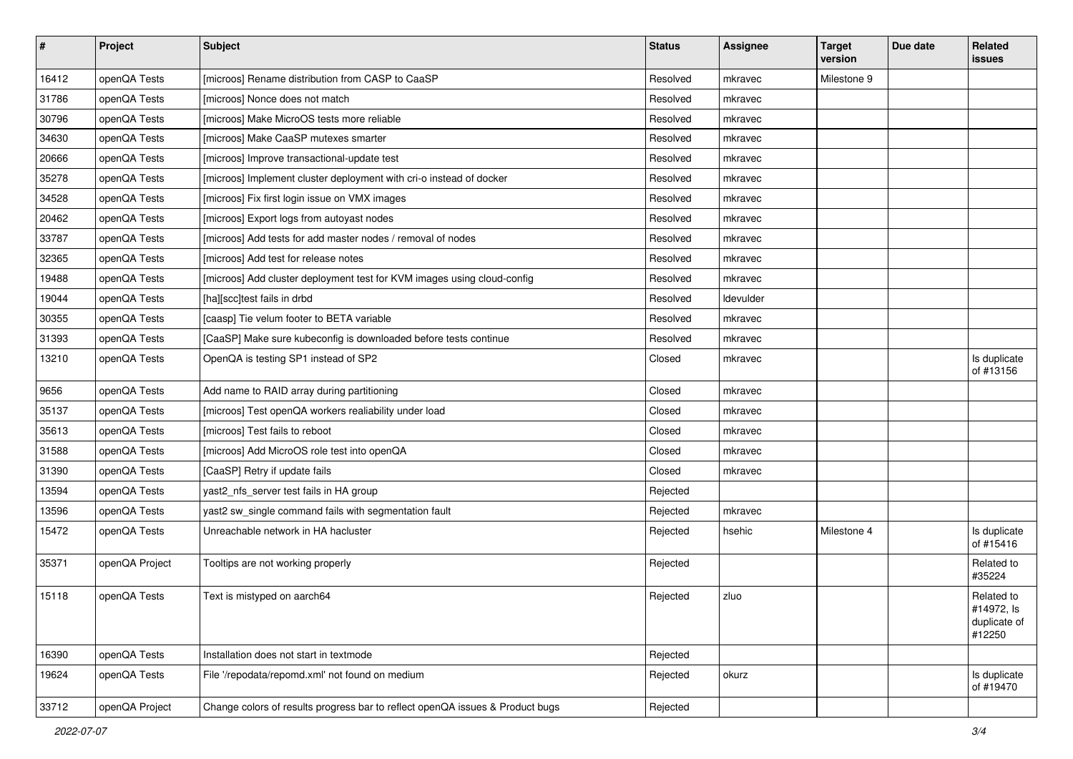| $\sharp$ | Project        | <b>Subject</b>                                                                | <b>Status</b> | <b>Assignee</b> | <b>Target</b><br>version | Due date | Related<br>issues                                  |
|----------|----------------|-------------------------------------------------------------------------------|---------------|-----------------|--------------------------|----------|----------------------------------------------------|
| 16412    | openQA Tests   | [microos] Rename distribution from CASP to CaaSP                              | Resolved      | mkravec         | Milestone 9              |          |                                                    |
| 31786    | openQA Tests   | [microos] Nonce does not match                                                | Resolved      | mkravec         |                          |          |                                                    |
| 30796    | openQA Tests   | [microos] Make MicroOS tests more reliable                                    | Resolved      | mkravec         |                          |          |                                                    |
| 34630    | openQA Tests   | [microos] Make CaaSP mutexes smarter                                          | Resolved      | mkravec         |                          |          |                                                    |
| 20666    | openQA Tests   | [microos] Improve transactional-update test                                   | Resolved      | mkravec         |                          |          |                                                    |
| 35278    | openQA Tests   | [microos] Implement cluster deployment with cri-o instead of docker           | Resolved      | mkravec         |                          |          |                                                    |
| 34528    | openQA Tests   | [microos] Fix first login issue on VMX images                                 | Resolved      | mkravec         |                          |          |                                                    |
| 20462    | openQA Tests   | [microos] Export logs from autoyast nodes                                     | Resolved      | mkravec         |                          |          |                                                    |
| 33787    | openQA Tests   | [microos] Add tests for add master nodes / removal of nodes                   | Resolved      | mkravec         |                          |          |                                                    |
| 32365    | openQA Tests   | [microos] Add test for release notes                                          | Resolved      | mkravec         |                          |          |                                                    |
| 19488    | openQA Tests   | [microos] Add cluster deployment test for KVM images using cloud-config       | Resolved      | mkravec         |                          |          |                                                    |
| 19044    | openQA Tests   | [ha][scc]test fails in drbd                                                   | Resolved      | Idevulder       |                          |          |                                                    |
| 30355    | openQA Tests   | [caasp] Tie velum footer to BETA variable                                     | Resolved      | mkravec         |                          |          |                                                    |
| 31393    | openQA Tests   | [CaaSP] Make sure kubeconfig is downloaded before tests continue              | Resolved      | mkravec         |                          |          |                                                    |
| 13210    | openQA Tests   | OpenQA is testing SP1 instead of SP2                                          | Closed        | mkravec         |                          |          | Is duplicate<br>of #13156                          |
| 9656     | openQA Tests   | Add name to RAID array during partitioning                                    | Closed        | mkravec         |                          |          |                                                    |
| 35137    | openQA Tests   | [microos] Test openQA workers realiability under load                         | Closed        | mkravec         |                          |          |                                                    |
| 35613    | openQA Tests   | [microos] Test fails to reboot                                                | Closed        | mkravec         |                          |          |                                                    |
| 31588    | openQA Tests   | [microos] Add MicroOS role test into openQA                                   | Closed        | mkravec         |                          |          |                                                    |
| 31390    | openQA Tests   | [CaaSP] Retry if update fails                                                 | Closed        | mkravec         |                          |          |                                                    |
| 13594    | openQA Tests   | yast2_nfs_server test fails in HA group                                       | Rejected      |                 |                          |          |                                                    |
| 13596    | openQA Tests   | yast2 sw_single command fails with segmentation fault                         | Rejected      | mkravec         |                          |          |                                                    |
| 15472    | openQA Tests   | Unreachable network in HA hacluster                                           | Rejected      | hsehic          | Milestone 4              |          | Is duplicate<br>of #15416                          |
| 35371    | openQA Project | Tooltips are not working properly                                             | Rejected      |                 |                          |          | Related to<br>#35224                               |
| 15118    | openQA Tests   | Text is mistyped on aarch64                                                   | Rejected      | zluo            |                          |          | Related to<br>#14972, Is<br>duplicate of<br>#12250 |
| 16390    | openQA Tests   | Installation does not start in textmode                                       | Rejected      |                 |                          |          |                                                    |
| 19624    | openQA Tests   | File '/repodata/repomd.xml' not found on medium                               | Rejected      | okurz           |                          |          | Is duplicate<br>of #19470                          |
| 33712    | openQA Project | Change colors of results progress bar to reflect openQA issues & Product bugs | Rejected      |                 |                          |          |                                                    |